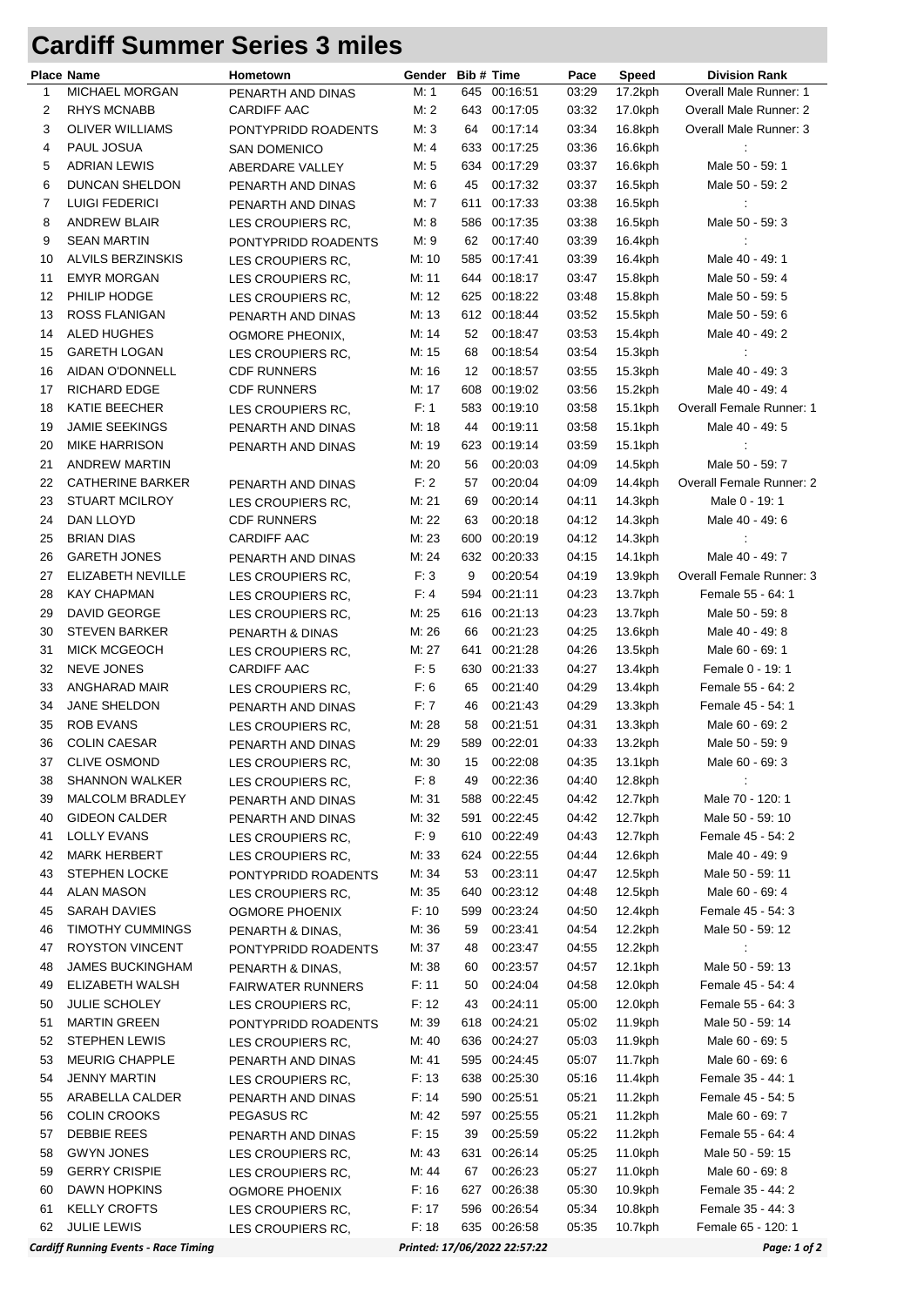## **Cardiff Summer Series 3 miles**

|                | <b>Place Name</b>                           | Hometown                 | Gender | Bib # Time |                              | Pace  | <b>Speed</b> | <b>Division Rank</b>            |
|----------------|---------------------------------------------|--------------------------|--------|------------|------------------------------|-------|--------------|---------------------------------|
| $\mathbf{1}$   | <b>MICHAEL MORGAN</b>                       | PENARTH AND DINAS        | M: 1   | 645        | 00:16:51                     | 03:29 | 17.2kph      | Overall Male Runner: 1          |
| $\overline{c}$ | <b>RHYS MCNABB</b>                          | <b>CARDIFF AAC</b>       | M: 2   |            | 643 00:17:05                 | 03:32 | 17.0kph      | Overall Male Runner: 2          |
| 3              | <b>OLIVER WILLIAMS</b>                      | PONTYPRIDD ROADENTS      | M: 3   | 64         | 00:17:14                     | 03:34 | 16.8kph      | Overall Male Runner: 3          |
| 4              | PAUL JOSUA                                  | <b>SAN DOMENICO</b>      | M: 4   |            | 633 00:17:25                 | 03:36 | 16.6kph      | ÷                               |
| 5              | <b>ADRIAN LEWIS</b>                         | ABERDARE VALLEY          | M: 5   |            | 634 00:17:29                 | 03:37 | 16.6kph      | Male 50 - 59: 1                 |
| 6              | DUNCAN SHELDON                              | PENARTH AND DINAS        | M: 6   | 45         | 00:17:32                     | 03:37 | 16.5kph      | Male 50 - 59: 2                 |
| 7              | LUIGI FEDERICI                              | PENARTH AND DINAS        | M: 7   | 611        | 00:17:33                     | 03:38 | 16.5kph      | ÷                               |
| 8              | <b>ANDREW BLAIR</b>                         | LES CROUPIERS RC.        | M: 8   |            | 586 00:17:35                 | 03:38 | 16.5kph      | Male 50 - 59: 3                 |
| 9              | <b>SEAN MARTIN</b>                          | PONTYPRIDD ROADENTS      | M: 9   | 62         | 00:17:40                     | 03:39 | 16.4kph      | ÷                               |
| 10             | <b>ALVILS BERZINSKIS</b>                    | LES CROUPIERS RC.        | M: 10  |            | 585 00:17:41                 | 03:39 | 16.4kph      | Male 40 - 49: 1                 |
| 11             | <b>EMYR MORGAN</b>                          | LES CROUPIERS RC,        | M: 11  |            | 644 00:18:17                 | 03:47 | 15.8kph      | Male 50 - 59: 4                 |
| 12             | PHILIP HODGE                                | LES CROUPIERS RC,        | M: 12  |            | 625 00:18:22                 | 03:48 | 15.8kph      | Male 50 - 59: 5                 |
| 13             | ROSS FLANIGAN                               |                          | M: 13  |            | 612 00:18:44                 | 03:52 | 15.5kph      | Male 50 - 59: 6                 |
| 14             | ALED HUGHES                                 | PENARTH AND DINAS        | M: 14  | 52         | 00:18:47                     | 03:53 | 15.4kph      | Male 40 - 49: 2                 |
|                |                                             | OGMORE PHEONIX,          |        |            |                              |       |              |                                 |
| 15             | <b>GARETH LOGAN</b>                         | LES CROUPIERS RC,        | M: 15  | 68         | 00:18:54                     | 03:54 | $15.3$ kph   | ÷                               |
| 16             | AIDAN O'DONNELL                             | <b>CDF RUNNERS</b>       | M: 16  | 12         | 00:18:57                     | 03:55 | 15.3kph      | Male 40 - 49: 3                 |
| 17             | RICHARD EDGE                                | <b>CDF RUNNERS</b>       | M: 17  |            | 608 00:19:02                 | 03:56 | 15.2kph      | Male 40 - 49: 4                 |
| 18             | KATIE BEECHER                               | LES CROUPIERS RC,        | F: 1   |            | 583 00:19:10                 | 03:58 | 15.1kph      | <b>Overall Female Runner: 1</b> |
| 19             | <b>JAMIE SEEKINGS</b>                       | PENARTH AND DINAS        | M: 18  | 44         | 00:19:11                     | 03:58 | 15.1kph      | Male 40 - 49: 5                 |
| 20             | <b>MIKE HARRISON</b>                        | PENARTH AND DINAS        | M: 19  |            | 623 00:19:14                 | 03:59 | 15.1kph      | ÷                               |
| 21             | <b>ANDREW MARTIN</b>                        |                          | M: 20  | 56         | 00:20:03                     | 04:09 | 14.5kph      | Male 50 - 59: 7                 |
| 22             | <b>CATHERINE BARKER</b>                     | PENARTH AND DINAS        | F: 2   | 57         | 00:20:04                     | 04:09 | 14.4kph      | Overall Female Runner: 2        |
| 23             | <b>STUART MCILROY</b>                       | LES CROUPIERS RC,        | M: 21  | 69         | 00:20:14                     | 04:11 | 14.3kph      | Male 0 - 19: 1                  |
| 24             | DAN LLOYD                                   | <b>CDF RUNNERS</b>       | M: 22  | 63         | 00:20:18                     | 04:12 | 14.3kph      | Male 40 - 49: 6                 |
| 25             | <b>BRIAN DIAS</b>                           | <b>CARDIFF AAC</b>       | M: 23  |            | 600 00:20:19                 | 04:12 | 14.3kph      | $\ddot{\cdot}$                  |
| 26             | <b>GARETH JONES</b>                         | PENARTH AND DINAS        | M: 24  |            | 632 00:20:33                 | 04:15 | 14.1kph      | Male 40 - 49: 7                 |
| 27             | ELIZABETH NEVILLE                           | LES CROUPIERS RC,        | F:3    | 9          | 00:20:54                     | 04:19 | 13.9kph      | Overall Female Runner: 3        |
| 28             | <b>KAY CHAPMAN</b>                          | LES CROUPIERS RC,        | F: 4   |            | 594 00:21:11                 | 04:23 | 13.7kph      | Female 55 - 64: 1               |
| 29             | <b>DAVID GEORGE</b>                         | LES CROUPIERS RC,        | M: 25  |            | 616 00:21:13                 | 04:23 | 13.7kph      | Male 50 - 59: 8                 |
| 30             | <b>STEVEN BARKER</b>                        |                          | M: 26  | 66         | 00:21:23                     | 04:25 | 13.6kph      | Male 40 - 49: 8                 |
| 31             | <b>MICK MCGEOCH</b>                         | PENARTH & DINAS          | M: 27  | 641        | 00:21:28                     | 04:26 |              | Male 60 - 69: 1                 |
|                |                                             | LES CROUPIERS RC,        |        |            |                              |       | 13.5kph      |                                 |
| 32             | <b>NEVE JONES</b>                           | <b>CARDIFF AAC</b>       | F: 5   | 630        | 00:21:33                     | 04:27 | 13.4kph      | Female 0 - 19: 1                |
| 33             | ANGHARAD MAIR                               | LES CROUPIERS RC,        | F: 6   | 65         | 00:21:40                     | 04:29 | 13.4kph      | Female 55 - 64: 2               |
| 34             | <b>JANE SHELDON</b>                         | PENARTH AND DINAS        | F:7    | 46         | 00:21:43                     | 04:29 | 13.3kph      | Female 45 - 54: 1               |
| 35             | <b>ROB EVANS</b>                            | LES CROUPIERS RC.        | M: 28  | 58         | 00:21:51                     | 04:31 | 13.3kph      | Male 60 - 69: 2                 |
| 36             | <b>COLIN CAESAR</b>                         | PENARTH AND DINAS        | M: 29  |            | 589 00:22:01                 | 04:33 | $13.2$ kph   | Male 50 - 59: 9                 |
| 37             | <b>CLIVE OSMOND</b>                         | LES CROUPIERS RC,        | M: 30  |            | 15 00:22:08                  | 04:35 | 13.1kph      | Male 60 - 69: 3                 |
| 38             | <b>SHANNON WALKER</b>                       | LES CROUPIERS RC.        | F: 8   | 49         | 00:22:36                     | 04:40 | 12.8kph      |                                 |
| 39             | <b>MALCOLM BRADLEY</b>                      | PENARTH AND DINAS        | M: 31  |            | 588 00:22:45                 | 04:42 | 12.7kph      | Male 70 - 120: 1                |
| 40             | <b>GIDEON CALDER</b>                        | PENARTH AND DINAS        | M: 32  |            | 591 00:22:45                 | 04:42 | 12.7kph      | Male 50 - 59: 10                |
| 41             | LOLLY EVANS                                 | LES CROUPIERS RC,        | F: 9   |            | 610 00:22:49                 | 04:43 | 12.7kph      | Female 45 - 54: 2               |
| 42             | <b>MARK HERBERT</b>                         | LES CROUPIERS RC,        | M: 33  |            | 624 00:22:55                 | 04:44 | 12.6kph      | Male 40 - 49: 9                 |
| 43             | <b>STEPHEN LOCKE</b>                        | PONTYPRIDD ROADENTS      | M: 34  | 53         | 00:23:11                     | 04:47 | 12.5kph      | Male 50 - 59: 11                |
| 44             | ALAN MASON                                  | LES CROUPIERS RC,        | M: 35  |            | 640 00:23:12                 | 04:48 | 12.5kph      | Male 60 - 69: 4                 |
| 45             | SARAH DAVIES                                | <b>OGMORE PHOENIX</b>    | F: 10  |            | 599 00:23:24                 | 04:50 | 12.4kph      | Female 45 - 54: 3               |
| 46             | <b>TIMOTHY CUMMINGS</b>                     | PENARTH & DINAS,         | M: 36  | 59         | 00:23:41                     | 04:54 | 12.2kph      | Male 50 - 59: 12                |
| 47             | <b>ROYSTON VINCENT</b>                      | PONTYPRIDD ROADENTS      | M: 37  | 48         | 00:23:47                     | 04:55 | 12.2kph      |                                 |
| 48             | <b>JAMES BUCKINGHAM</b>                     | PENARTH & DINAS,         | M: 38  | 60         | 00:23:57                     | 04:57 | 12.1kph      | Male 50 - 59: 13                |
| 49             | ELIZABETH WALSH                             |                          | F: 11  | 50         | 00:24:04                     | 04:58 | 12.0kph      | Female 45 - 54: 4               |
| 50             | <b>JULIE SCHOLEY</b>                        | <b>FAIRWATER RUNNERS</b> | F: 12  | 43         | 00:24:11                     | 05:00 | 12.0kph      | Female 55 - 64: 3               |
|                |                                             | LES CROUPIERS RC,        |        |            |                              |       |              |                                 |
| 51             | <b>MARTIN GREEN</b>                         | PONTYPRIDD ROADENTS      | M: 39  |            | 618 00:24:21                 | 05:02 | 11.9kph      | Male 50 - 59: 14                |
| 52             | <b>STEPHEN LEWIS</b>                        | LES CROUPIERS RC,        | M: 40  |            | 636 00:24:27                 | 05:03 | 11.9kph      | Male 60 - 69: 5                 |
| 53             | <b>MEURIG CHAPPLE</b>                       | PENARTH AND DINAS        | M: 41  |            | 595 00:24:45                 | 05:07 | 11.7kph      | Male 60 - 69: 6                 |
| 54             | <b>JENNY MARTIN</b>                         | LES CROUPIERS RC,        | F: 13  |            | 638 00:25:30                 | 05:16 | 11.4kph      | Female 35 - 44: 1               |
| 55             | ARABELLA CALDER                             | PENARTH AND DINAS        | F: 14  |            | 590 00:25:51                 | 05:21 | 11.2kph      | Female 45 - 54: 5               |
| 56             | <b>COLIN CROOKS</b>                         | PEGASUS RC               | M: 42  |            | 597 00:25:55                 | 05:21 | 11.2kph      | Male 60 - 69: 7                 |
| 57             | <b>DEBBIE REES</b>                          | PENARTH AND DINAS        | F: 15  | 39         | 00:25:59                     | 05:22 | 11.2kph      | Female 55 - 64: 4               |
| 58             | <b>GWYN JONES</b>                           | LES CROUPIERS RC,        | M: 43  | 631        | 00:26:14                     | 05:25 | 11.0kph      | Male 50 - 59: 15                |
| 59             | <b>GERRY CRISPIE</b>                        | LES CROUPIERS RC,        | M: 44  | 67         | 00:26:23                     | 05:27 | 11.0kph      | Male 60 - 69: 8                 |
| 60             | DAWN HOPKINS                                | <b>OGMORE PHOENIX</b>    | F: 16  |            | 627 00:26:38                 | 05:30 | 10.9kph      | Female 35 - 44: 2               |
| 61             | <b>KELLY CROFTS</b>                         | LES CROUPIERS RC,        | F: 17  |            | 596 00:26:54                 | 05:34 | 10.8kph      | Female 35 - 44: 3               |
| 62             | <b>JULIE LEWIS</b>                          | LES CROUPIERS RC,        | F: 18  |            | 635 00:26:58                 | 05:35 | 10.7kph      | Female 65 - 120: 1              |
|                | <b>Cardiff Running Events - Race Timing</b> |                          |        |            | Printed: 17/06/2022 22:57:22 |       |              | Page: 1 of 2                    |